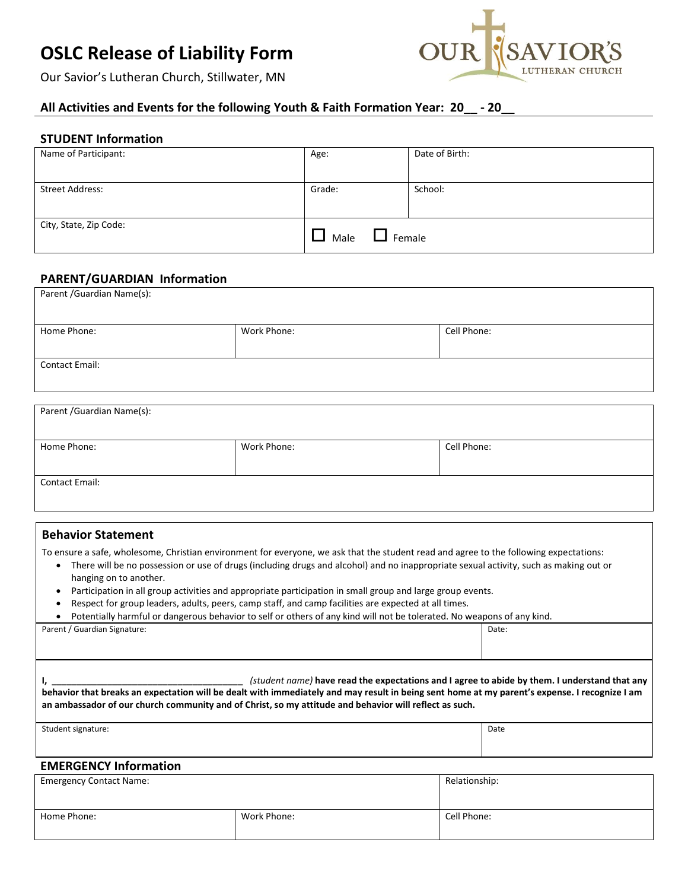# **OSLC Release of Liability Form**



Our Savior's Lutheran Church, Stillwater, MN

# **All Activities and Events for the following Youth & Faith Formation Year: 20\_\_ - 20\_\_**

# **STUDENT Information**

| Name of Participant:   | Age:                     | Date of Birth: |
|------------------------|--------------------------|----------------|
|                        |                          |                |
| <b>Street Address:</b> | Grade:                   | School:        |
|                        |                          |                |
| City, State, Zip Code: | Female<br>Male<br>$\sim$ |                |

## **PARENT/GUARDIAN Information**

| Parent / Guardian Name(s): |             |             |  |  |
|----------------------------|-------------|-------------|--|--|
| Home Phone:                | Work Phone: | Cell Phone: |  |  |
|                            |             |             |  |  |
| Contact Email:             |             |             |  |  |
|                            |             |             |  |  |

| Parent / Guardian Name(s): |             |             |  |  |
|----------------------------|-------------|-------------|--|--|
| Home Phone:                | Work Phone: | Cell Phone: |  |  |
| <b>Contact Email:</b>      |             |             |  |  |

## **Behavior Statement**

To ensure a safe, wholesome, Christian environment for everyone, we ask that the student read and agree to the following expectations:

- There will be no possession or use of drugs (including drugs and alcohol) and no inappropriate sexual activity, such as making out or hanging on to another.
- Participation in all group activities and appropriate participation in small group and large group events.
- Respect for group leaders, adults, peers, camp staff, and camp facilities are expected at all times.

| Parent / Guardian Signature: | Date: |
|------------------------------|-------|
|                              |       |
|                              |       |

| (student name) have read the expectations and I agree to abide by them. I understand that any<br>behavior that breaks an expectation will be dealt with immediately and may result in being sent home at my parent's expense. I recognize I am<br>an ambassador of our church community and of Christ, so my attitude and behavior will reflect as such. |      |
|----------------------------------------------------------------------------------------------------------------------------------------------------------------------------------------------------------------------------------------------------------------------------------------------------------------------------------------------------------|------|
| Student signature:                                                                                                                                                                                                                                                                                                                                       | Date |

#### **EMERGENCY Information**

| <b>Emergency Contact Name:</b> | Relationship: |             |
|--------------------------------|---------------|-------------|
|                                |               |             |
| Home Phone:                    | Work Phone:   | Cell Phone: |